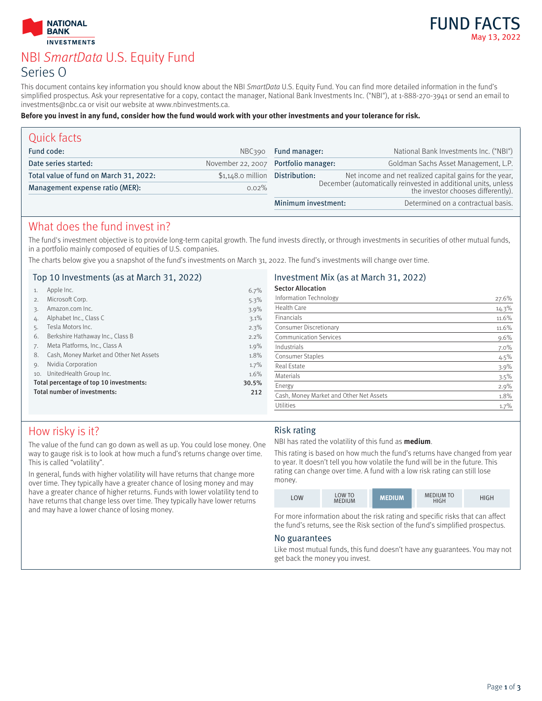



# NBI SmartData U.S. Equity Fund Series O

This document contains key information you should know about the NBI SmartData U.S. Equity Fund. You can find more detailed information in the fund's simplified prospectus. Ask your representative for a copy, contact the manager, National Bank Investments Inc. ("NBI"), at 1-888-270-3941 or send an email to investments@nbc.ca or visit our website at www.nbinvestments.ca.

#### **Before you invest in any fund, consider how the fund would work with your other investments and your tolerance for risk.**

| Quick facts                            |                    |                                                                                                      |                                                         |
|----------------------------------------|--------------------|------------------------------------------------------------------------------------------------------|---------------------------------------------------------|
| Fund code:                             | NBC390             | Fund manager:                                                                                        | National Bank Investments Inc. ("NBI")                  |
| Date series started:                   |                    | November 22, 2007 Portfolio manager:                                                                 | Goldman Sachs Asset Management, L.P.                    |
| Total value of fund on March 31, 2022: | $$1,148.0$ million | Distribution:                                                                                        | Net income and net realized capital gains for the year, |
| Management expense ratio (MER):        | $0.02\%$           | December (automatically reinvested in additional units, unless<br>the investor chooses differently). |                                                         |
|                                        |                    | Minimum investment:                                                                                  | Determined on a contractual basis.                      |

### What does the fund invest in?

The fund's investment objective is to provide long-term capital growth. The fund invests directly, or through investments in securities of other mutual funds, in a portfolio mainly composed of equities of U.S. companies.

The charts below give you a snapshot of the fund's investments on March 31, 2022. The fund's investments will change over time.

#### Top 10 Investments (as at March 31, 2022)

| 1.                                      | Apple Inc.                              | 6.7%  |
|-----------------------------------------|-----------------------------------------|-------|
| 2.                                      | Microsoft Corp.                         | 5.3%  |
| 3.                                      | Amazon.com Inc.                         | 3.9%  |
| 4.                                      | Alphabet Inc., Class C                  | 3.1%  |
| 5.                                      | Tesla Motors Inc.                       | 2.3%  |
| 6.                                      | Berkshire Hathaway Inc., Class B        | 2.2%  |
| 7.                                      | Meta Platforms, Inc., Class A           | 1.9%  |
| 8.                                      | Cash, Money Market and Other Net Assets | 1.8%  |
| 9.                                      | Nvidia Corporation                      | 1.7%  |
| 10.                                     | UnitedHealth Group Inc.                 | 1.6%  |
| Total percentage of top 10 investments: |                                         | 30.5% |
| Total number of investments:            |                                         | 212   |
|                                         |                                         |       |

#### Investment Mix (as at March 31, 2022) Sector Allocation

| <b>SECIOL AIIOCALIOII</b>               |       |
|-----------------------------------------|-------|
| Information Technology                  | 27.6% |
| Health Care                             | 14.3% |
| Financials                              | 11.6% |
| Consumer Discretionary                  | 11.6% |
| <b>Communication Services</b>           | 9.6%  |
| Industrials                             | 7.0%  |
| <b>Consumer Staples</b>                 | 4.5%  |
| <b>Real Estate</b>                      | 3.9%  |
| Materials                               | 3.5%  |
| Energy                                  | 2.9%  |
| Cash, Money Market and Other Net Assets | 1.8%  |
| Utilities                               | 1.7%  |

### How risky is it?

The value of the fund can go down as well as up. You could lose money. One way to gauge risk is to look at how much a fund's returns change over time. This is called "volatility".

In general, funds with higher volatility will have returns that change more over time. They typically have a greater chance of losing money and may have a greater chance of higher returns. Funds with lower volatility tend to have returns that change less over time. They typically have lower returns and may have a lower chance of losing money.

### Risk rating

NBI has rated the volatility of this fund as **medium**.

This rating is based on how much the fund's returns have changed from year to year. It doesn't tell you how volatile the fund will be in the future. This rating can change over time. A fund with a low risk rating can still lose money.



For more information about the risk rating and specific risks that can affect the fund's returns, see the Risk section of the fund's simplified prospectus.

#### No guarantees

Like most mutual funds, this fund doesn't have any guarantees. You may not get back the money you invest.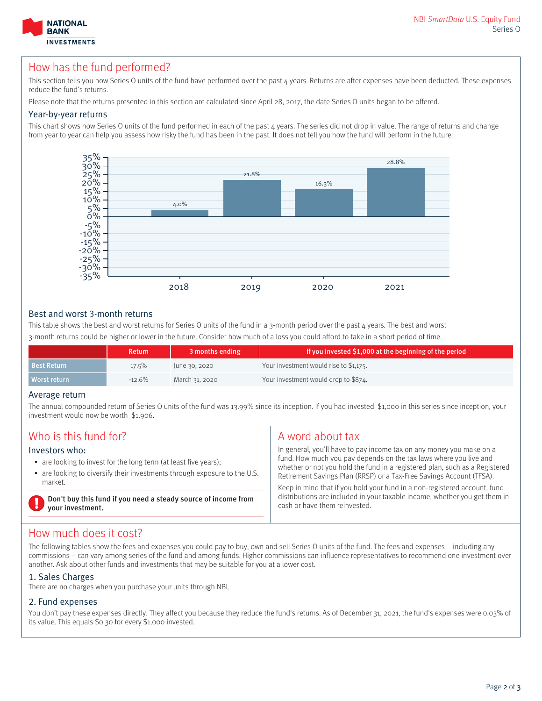

### How has the fund performed?

This section tells you how Series O units of the fund have performed over the past 4 years. Returns are after expenses have been deducted. These expenses reduce the fund's returns.

Please note that the returns presented in this section are calculated since April 28, 2017, the date Series O units began to be offered.

#### Year-by-year returns

This chart shows how Series O units of the fund performed in each of the past 4 years. The series did not drop in value. The range of returns and change from year to year can help you assess how risky the fund has been in the past. It does not tell you how the fund will perform in the future.



#### Best and worst 3-month returns

This table shows the best and worst returns for Series O units of the fund in a 3-month period over the past 4 years. The best and worst 3-month returns could be higher or lower in the future. Consider how much of a loss you could afford to take in a short period of time.

|                    | <b>Return</b> | 3 months ending | If you invested \$1,000 at the beginning of the period |
|--------------------|---------------|-----------------|--------------------------------------------------------|
| <b>Best Return</b> | $17.5\%$      | June 30, 2020   | Your investment would rise to \$1,175.                 |
| Worst return       | $-12.6\%$     | March 31, 2020  | Your investment would drop to \$874.                   |

#### Average return

The annual compounded return of Series O units of the fund was 13.99% since its inception. If you had invested \$1,000 in this series since inception, your investment would now be worth \$1,906.

| Who is this fund for?                                                                                                                                                      | A word about tax                                                                                                                                                                                                                                                                                                                                                              |  |
|----------------------------------------------------------------------------------------------------------------------------------------------------------------------------|-------------------------------------------------------------------------------------------------------------------------------------------------------------------------------------------------------------------------------------------------------------------------------------------------------------------------------------------------------------------------------|--|
| Investors who:<br>• are looking to invest for the long term (at least five years);<br>• are looking to diversify their investments through exposure to the U.S.<br>market. | In general, you'll have to pay income tax on any money you make on a<br>fund. How much you pay depends on the tax laws where you live and<br>whether or not you hold the fund in a registered plan, such as a Registered<br>Retirement Savings Plan (RRSP) or a Tax-Free Savings Account (TFSA).<br>Keep in mind that if you hold your fund in a non-registered account, fund |  |
| Don't buy this fund if you need a steady source of income from<br>your investment.                                                                                         | distributions are included in your taxable income, whether you get them in<br>cash or have them reinvested.                                                                                                                                                                                                                                                                   |  |

### How much does it cost?

The following tables show the fees and expenses you could pay to buy, own and sell Series O units of the fund. The fees and expenses – including any commissions – can vary among series of the fund and among funds. Higher commissions can influence representatives to recommend one investment over another. Ask about other funds and investments that may be suitable for you at a lower cost.

### 1. Sales Charges

There are no charges when you purchase your units through NBI.

#### 2. Fund expenses

You don't pay these expenses directly. They affect you because they reduce the fund's returns. As of December 31, 2021, the fund's expenses were 0.03% of its value. This equals \$0.30 for every \$1,000 invested.